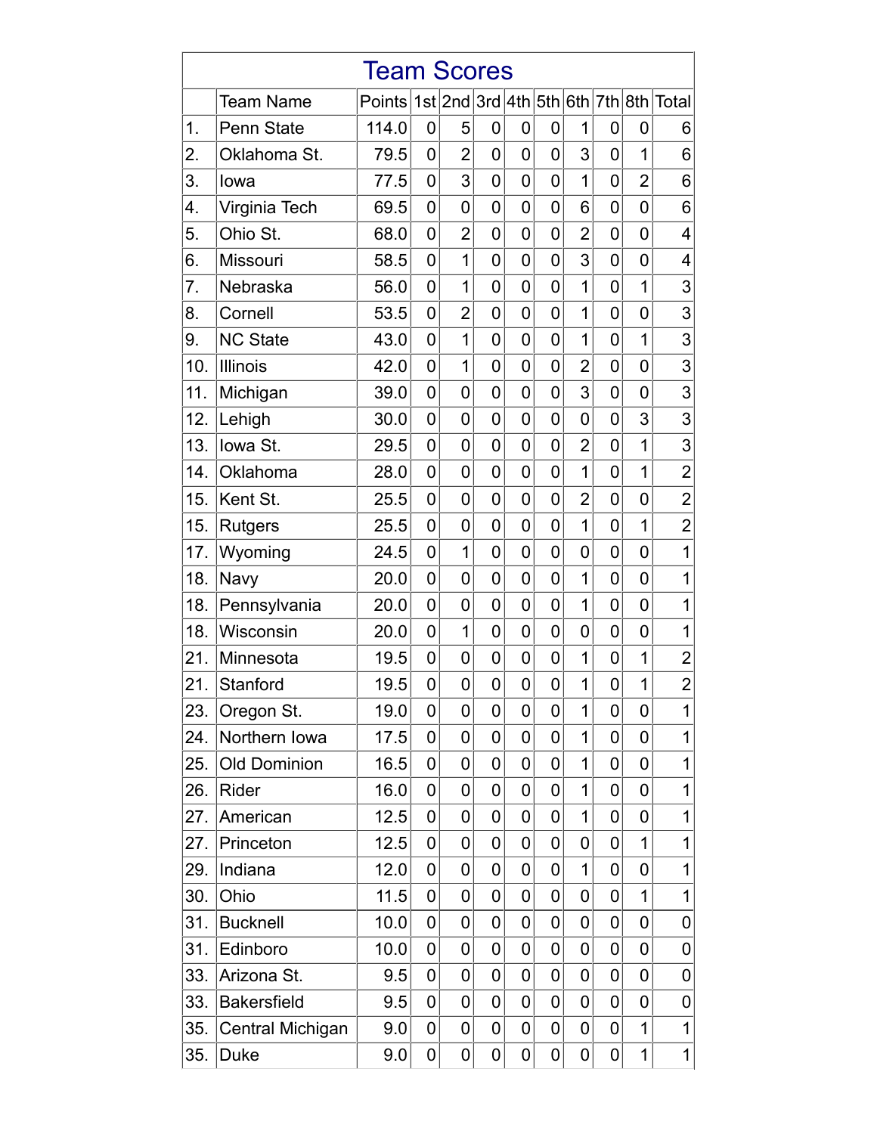| <b>Team Scores</b> |                     |                                        |                |                |                |                |   |                |                |                |                |  |
|--------------------|---------------------|----------------------------------------|----------------|----------------|----------------|----------------|---|----------------|----------------|----------------|----------------|--|
|                    | <b>Team Name</b>    | Points 1st 2nd 3rd 4th 5th 6th 7th 8th |                |                |                |                |   |                |                |                | Total          |  |
| 1.                 | <b>Penn State</b>   | 114.0                                  | 0              | 5              | 0              | 0              | 0 | 1              | 0              | 0              | 6              |  |
| 2.                 | Oklahoma St.        | 79.5                                   | 0              | $\overline{2}$ | $\overline{0}$ | 0              | 0 | 3              | 0              | 1              | 6              |  |
| 3.                 | lowa                | 77.5                                   | 0              | 3              | 0              | 0              | 0 | $\mathbf 1$    | 0              | $\overline{2}$ | 6              |  |
| 4.                 | Virginia Tech       | 69.5                                   | 0              | 0              | 0              | $\overline{0}$ | 0 | 6              | 0              | $\overline{0}$ | 6              |  |
| 5.                 | Ohio St.            | 68.0                                   | 0              | $\overline{2}$ | 0              | 0              | 0 | $\overline{2}$ | 0              | 0              | 4              |  |
| 6.                 | Missouri            | 58.5                                   | 0              | 1              | 0              | 0              | 0 | 3              | 0              | 0              | 4              |  |
| 7.                 | Nebraska            | 56.0                                   | $\mathbf 0$    | 1              | 0              | 0              | 0 | $\overline{1}$ | 0              | $\overline{1}$ | 3              |  |
| 8.                 | Cornell             | 53.5                                   | $\mathbf 0$    | $\overline{2}$ | 0              | 0              | 0 | 1              | 0              | 0              | 3              |  |
| 9.                 | <b>NC State</b>     | 43.0                                   | $\mathbf 0$    | $\overline{1}$ | 0              | 0              | 0 | $\overline{1}$ | 0              | $\overline{1}$ | 3              |  |
| 10.                | <b>Illinois</b>     | 42.0                                   | $\overline{0}$ | 1              | 0              | 0              | 0 | $\overline{2}$ | 0              | 0              | 3              |  |
| 11.                | Michigan            | 39.0                                   | $\mathbf 0$    | 0              | 0              | 0              | 0 | 3              | 0              | 0              | 3              |  |
| 12.                | Lehigh              | 30.0                                   | 0              | $\overline{0}$ | 0              | 0              | 0 | 0              | 0              | 3              | 3              |  |
| 13.                | Iowa St.            | 29.5                                   | 0              | $\overline{0}$ | 0              | 0              | 0 | $\overline{2}$ | 0              | $\overline{1}$ | 3              |  |
| 14.                | Oklahoma            | 28.0                                   | 0              | 0              | 0              | 0              | 0 | $\mathbf 1$    | 0              | 1              | $\overline{2}$ |  |
| 15.                | Kent St.            | 25.5                                   | $\mathbf 0$    | $\mathbf 0$    | 0              | 0              | 0 | $\overline{2}$ | 0              | 0              | $\overline{2}$ |  |
| 15.                | <b>Rutgers</b>      | 25.5                                   | 0              | $\overline{0}$ | 0              | 0              | 0 | $\overline{1}$ | 0              | $\overline{1}$ | $\overline{2}$ |  |
| 17.                | Wyoming             | 24.5                                   | 0              | 1              | 0              | 0              | 0 | 0              | 0              | 0              | 1              |  |
| 18.                | Navy                | 20.0                                   | 0              | $\overline{0}$ | 0              | 0              | 0 | 1              | 0              | 0              | 1              |  |
| 18.                | Pennsylvania        | 20.0                                   | $\mathbf 0$    | 0              | 0              | 0              | 0 | 1              | 0              | 0              | 1              |  |
| 18.                | Wisconsin           | 20.0                                   | $\mathbf 0$    | 1              | 0              | 0              | 0 | $\overline{0}$ | 0              | $\overline{0}$ | 1              |  |
| 21.                | Minnesota           | 19.5                                   | $\mathbf 0$    | 0              | 0              | 0              | 0 | 1              | 0              | 1              | $\overline{2}$ |  |
| 21.                | Stanford            | 19.5                                   | $\overline{0}$ | 0              | $\overline{0}$ | 0              | 0 | $\overline{1}$ | $\overline{0}$ | $\overline{1}$ | $\overline{2}$ |  |
| 23.                | Oregon St.          | 19.0                                   | 0              | 0              | 0              | 0              | 0 | 1              | 0              | 0              | 1              |  |
| 24.                | Northern Iowa       | 17.5                                   | 0              | $\overline{0}$ | 0              | 0              | 0 | 1              | 0              | 0              | 1              |  |
| 25.                | <b>Old Dominion</b> | 16.5                                   | 0              | $\overline{0}$ | 0              | 0              | 0 | $\overline{1}$ | 0              | 0              | 1              |  |
| 26.                | Rider               | 16.0                                   | 0              | 0              | 0              | 0              | 0 | 1              | 0              | 0              | 1              |  |
| 27.                | American            | 12.5                                   | 0              | 0              | 0              | 0              | 0 | $\mathbf 1$    | 0              | 0              | 1              |  |
| 27.                | Princeton           | 12.5                                   | 0              | $\overline{0}$ | 0              | 0              | 0 | 0              | 0              | $\overline{1}$ | 1              |  |
| 29.                | Indiana             | 12.0                                   | 0              | 0              | 0              | 0              | 0 | 1              | 0              | 0              | 1              |  |
| 30.                | Ohio                | 11.5                                   | 0              | 0              | 0              | 0              | 0 | 0              | 0              | 1              | 1              |  |
| 31.                | <b>Bucknell</b>     | 10.0                                   | 0              | $\overline{0}$ | 0              | 0              | 0 | 0              | 0              | 0              | 0              |  |
| 31.                | Edinboro            | 10.0                                   | 0              | 0              | 0              | 0              | 0 | 0              | 0              | 0              | 0              |  |
| 33.                | Arizona St.         | 9.5                                    | 0              | 0              | 0              | 0              | 0 | 0              | 0              | 0              | 0              |  |
| 33.                | <b>Bakersfield</b>  | 9.5                                    | $\overline{0}$ | $\overline{0}$ | 0              | 0              | 0 | 0              | 0              | 0              | 0              |  |
| 35.                | Central Michigan    | 9.0                                    | 0              | $\mathbf 0$    | 0              | 0              | 0 | 0              | 0              | $\mathbf 1$    | 1              |  |
| 35.                | <b>Duke</b>         | 9.0                                    | $\pmb{0}$      | 0              | 0              | 0              | 0 | 0              | 0              | $\mathbf 1$    | 1              |  |